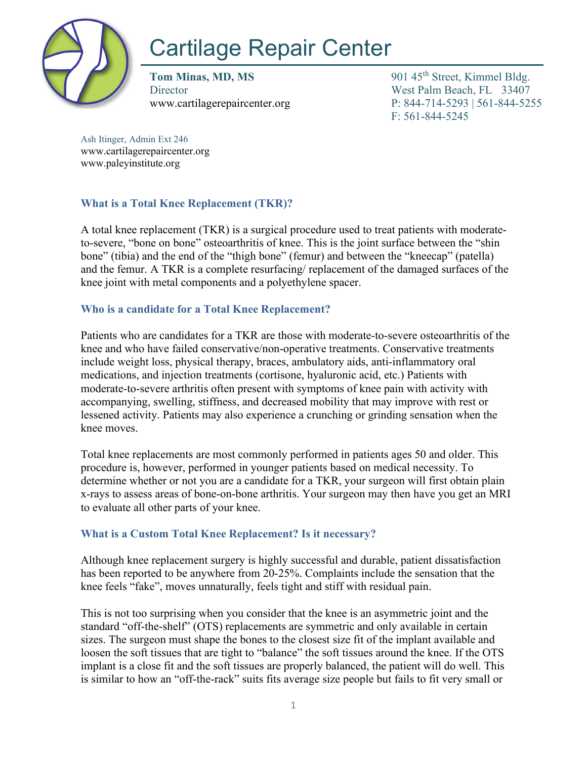

# Cartilage Repair Center

**Tom Minas, MD, MS** 901 45<sup>th</sup> Street, Kimmel Bldg. Director West Palm Beach, FL 33407

www.cartilagerepaircenter.org P: 844-714-5293 | 561-844-5255 F: 561-844-5245

Ash Itinger, Admin Ext 246 www.cartilagerepaircenter.org www.paleyinstitute.org

# **What is a Total Knee Replacement (TKR)?**

A total knee replacement (TKR) is a surgical procedure used to treat patients with moderateto-severe, "bone on bone" osteoarthritis of knee. This is the joint surface between the "shin bone" (tibia) and the end of the "thigh bone" (femur) and between the "kneecap" (patella) and the femur. A TKR is a complete resurfacing/ replacement of the damaged surfaces of the knee joint with metal components and a polyethylene spacer.

# **Who is a candidate for a Total Knee Replacement?**

Patients who are candidates for a TKR are those with moderate-to-severe osteoarthritis of the knee and who have failed conservative/non-operative treatments. Conservative treatments include weight loss, physical therapy, braces, ambulatory aids, anti-inflammatory oral medications, and injection treatments (cortisone, hyaluronic acid, etc.) Patients with moderate-to-severe arthritis often present with symptoms of knee pain with activity with accompanying, swelling, stiffness, and decreased mobility that may improve with rest or lessened activity. Patients may also experience a crunching or grinding sensation when the knee moves.

Total knee replacements are most commonly performed in patients ages 50 and older. This procedure is, however, performed in younger patients based on medical necessity. To determine whether or not you are a candidate for a TKR, your surgeon will first obtain plain x-rays to assess areas of bone-on-bone arthritis. Your surgeon may then have you get an MRI to evaluate all other parts of your knee.

# **What is a Custom Total Knee Replacement? Is it necessary?**

Although knee replacement surgery is highly successful and durable, patient dissatisfaction has been reported to be anywhere from 20-25%. Complaints include the sensation that the knee feels "fake", moves unnaturally, feels tight and stiff with residual pain.

This is not too surprising when you consider that the knee is an asymmetric joint and the standard "off-the-shelf" (OTS) replacements are symmetric and only available in certain sizes. The surgeon must shape the bones to the closest size fit of the implant available and loosen the soft tissues that are tight to "balance" the soft tissues around the knee. If the OTS implant is a close fit and the soft tissues are properly balanced, the patient will do well. This is similar to how an "off-the-rack" suits fits average size people but fails to fit very small or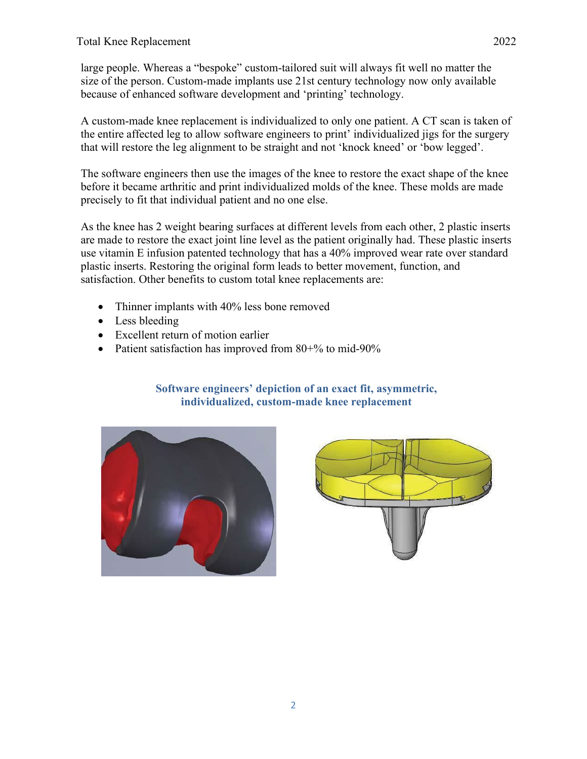large people. Whereas a "bespoke" custom-tailored suit will always fit well no matter the size of the person. Custom-made implants use 21st century technology now only available because of enhanced software development and 'printing' technology.

A custom-made knee replacement is individualized to only one patient. A CT scan is taken of the entire affected leg to allow software engineers to print' individualized jigs for the surgery that will restore the leg alignment to be straight and not 'knock kneed' or 'bow legged'.

The software engineers then use the images of the knee to restore the exact shape of the knee before it became arthritic and print individualized molds of the knee. These molds are made precisely to fit that individual patient and no one else.

As the knee has 2 weight bearing surfaces at different levels from each other, 2 plastic inserts are made to restore the exact joint line level as the patient originally had. These plastic inserts use vitamin E infusion patented technology that has a 40% improved wear rate over standard plastic inserts. Restoring the original form leads to better movement, function, and satisfaction. Other benefits to custom total knee replacements are:

- Thinner implants with 40% less bone removed
- Less bleeding
- Excellent return of motion earlier
- Patient satisfaction has improved from 80+% to mid-90%

## **Software engineers' depiction of an exact fit, asymmetric, individualized, custom-made knee replacement**



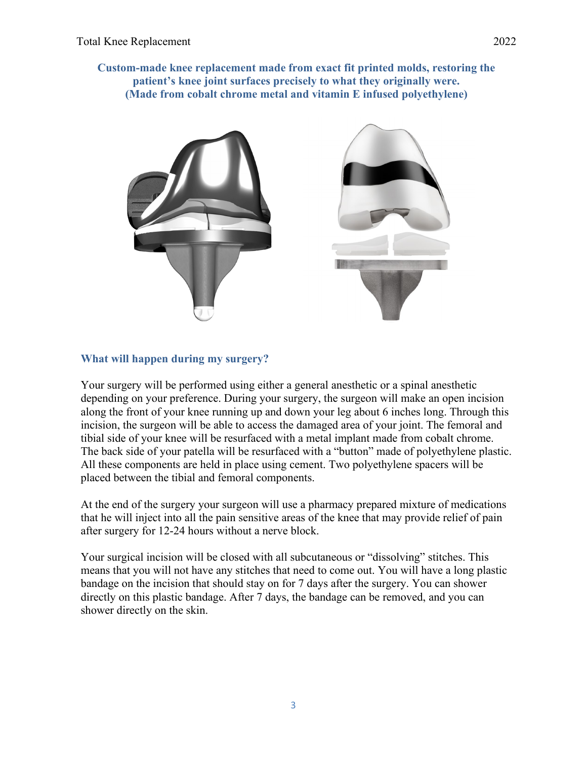

## **What will happen during my surgery?**

Your surgery will be performed using either a general anesthetic or a spinal anesthetic depending on your preference. During your surgery, the surgeon will make an open incision along the front of your knee running up and down your leg about 6 inches long. Through this incision, the surgeon will be able to access the damaged area of your joint. The femoral and tibial side of your knee will be resurfaced with a metal implant made from cobalt chrome. The back side of your patella will be resurfaced with a "button" made of polyethylene plastic. All these components are held in place using cement. Two polyethylene spacers will be placed between the tibial and femoral components.

At the end of the surgery your surgeon will use a pharmacy prepared mixture of medications that he will inject into all the pain sensitive areas of the knee that may provide relief of pain after surgery for 12-24 hours without a nerve block.

Your surgical incision will be closed with all subcutaneous or "dissolving" stitches. This means that you will not have any stitches that need to come out. You will have a long plastic bandage on the incision that should stay on for 7 days after the surgery. You can shower directly on this plastic bandage. After 7 days, the bandage can be removed, and you can shower directly on the skin.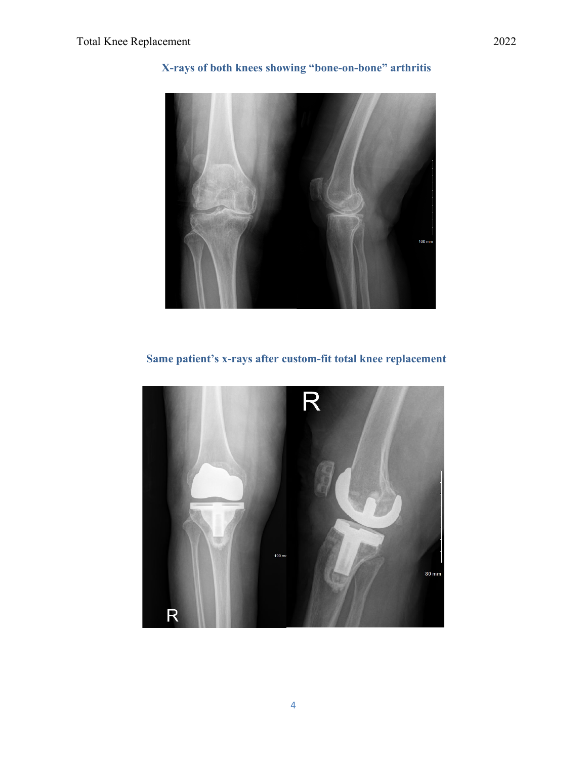

# **X-rays of both knees showing "bone-on-bone" arthritis**

**Same patient's x-rays after custom-fit total knee replacement**

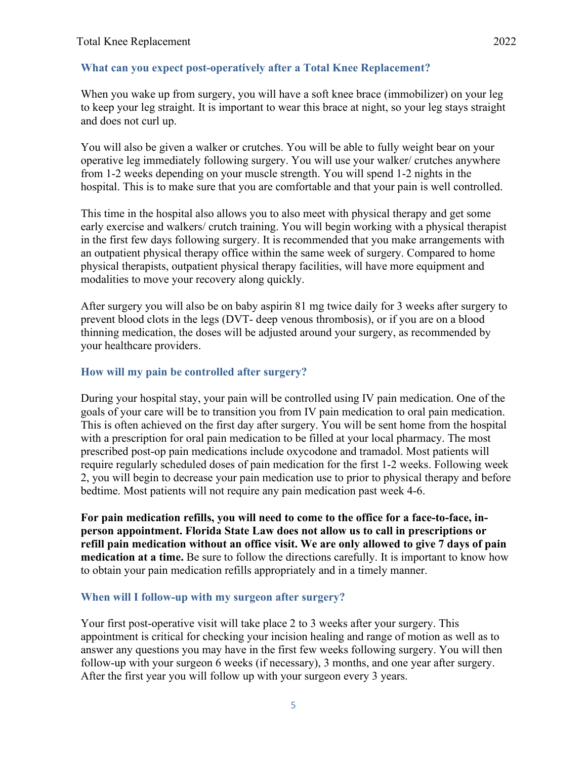#### **What can you expect post-operatively after a Total Knee Replacement?**

When you wake up from surgery, you will have a soft knee brace (immobilizer) on your leg to keep your leg straight. It is important to wear this brace at night, so your leg stays straight and does not curl up.

You will also be given a walker or crutches. You will be able to fully weight bear on your operative leg immediately following surgery. You will use your walker/ crutches anywhere from 1-2 weeks depending on your muscle strength. You will spend 1-2 nights in the hospital. This is to make sure that you are comfortable and that your pain is well controlled.

This time in the hospital also allows you to also meet with physical therapy and get some early exercise and walkers/ crutch training. You will begin working with a physical therapist in the first few days following surgery. It is recommended that you make arrangements with an outpatient physical therapy office within the same week of surgery. Compared to home physical therapists, outpatient physical therapy facilities, will have more equipment and modalities to move your recovery along quickly.

After surgery you will also be on baby aspirin 81 mg twice daily for 3 weeks after surgery to prevent blood clots in the legs (DVT- deep venous thrombosis), or if you are on a blood thinning medication, the doses will be adjusted around your surgery, as recommended by your healthcare providers.

#### **How will my pain be controlled after surgery?**

During your hospital stay, your pain will be controlled using IV pain medication. One of the goals of your care will be to transition you from IV pain medication to oral pain medication. This is often achieved on the first day after surgery. You will be sent home from the hospital with a prescription for oral pain medication to be filled at your local pharmacy. The most prescribed post-op pain medications include oxycodone and tramadol. Most patients will require regularly scheduled doses of pain medication for the first 1-2 weeks. Following week 2, you will begin to decrease your pain medication use to prior to physical therapy and before bedtime. Most patients will not require any pain medication past week 4-6.

**For pain medication refills, you will need to come to the office for a face-to-face, inperson appointment. Florida State Law does not allow us to call in prescriptions or refill pain medication without an office visit. We are only allowed to give 7 days of pain medication at a time.** Be sure to follow the directions carefully. It is important to know how to obtain your pain medication refills appropriately and in a timely manner.

## **When will I follow-up with my surgeon after surgery?**

Your first post-operative visit will take place 2 to 3 weeks after your surgery. This appointment is critical for checking your incision healing and range of motion as well as to answer any questions you may have in the first few weeks following surgery. You will then follow-up with your surgeon 6 weeks (if necessary), 3 months, and one year after surgery. After the first year you will follow up with your surgeon every 3 years.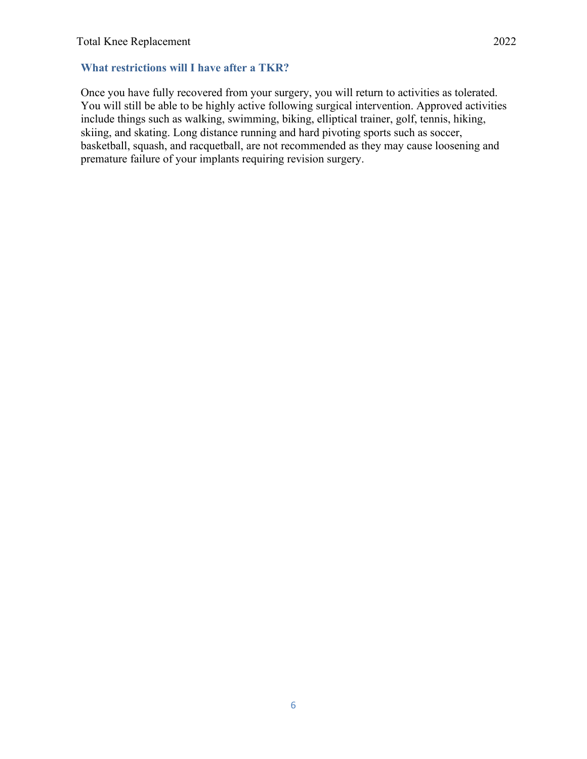## **What restrictions will I have after a TKR?**

Once you have fully recovered from your surgery, you will return to activities as tolerated. You will still be able to be highly active following surgical intervention. Approved activities include things such as walking, swimming, biking, elliptical trainer, golf, tennis, hiking, skiing, and skating. Long distance running and hard pivoting sports such as soccer, basketball, squash, and racquetball, are not recommended as they may cause loosening and premature failure of your implants requiring revision surgery.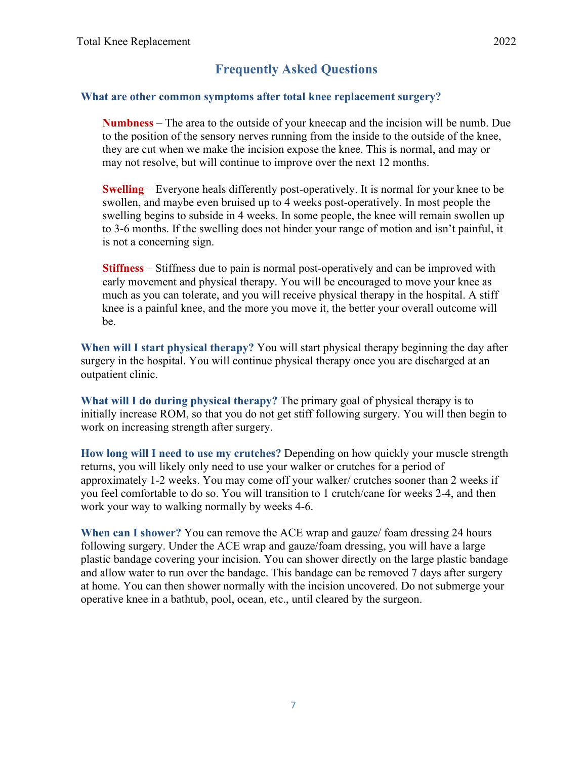# **Frequently Asked Questions**

## **What are other common symptoms after total knee replacement surgery?**

**Numbness** – The area to the outside of your kneecap and the incision will be numb. Due to the position of the sensory nerves running from the inside to the outside of the knee, they are cut when we make the incision expose the knee. This is normal, and may or may not resolve, but will continue to improve over the next 12 months.

**Swelling** – Everyone heals differently post-operatively. It is normal for your knee to be swollen, and maybe even bruised up to 4 weeks post-operatively. In most people the swelling begins to subside in 4 weeks. In some people, the knee will remain swollen up to 3-6 months. If the swelling does not hinder your range of motion and isn't painful, it is not a concerning sign.

**Stiffness** – Stiffness due to pain is normal post-operatively and can be improved with early movement and physical therapy. You will be encouraged to move your knee as much as you can tolerate, and you will receive physical therapy in the hospital. A stiff knee is a painful knee, and the more you move it, the better your overall outcome will be.

**When will I start physical therapy?** You will start physical therapy beginning the day after surgery in the hospital. You will continue physical therapy once you are discharged at an outpatient clinic.

**What will I do during physical therapy?** The primary goal of physical therapy is to initially increase ROM, so that you do not get stiff following surgery. You will then begin to work on increasing strength after surgery.

**How long will I need to use my crutches?** Depending on how quickly your muscle strength returns, you will likely only need to use your walker or crutches for a period of approximately 1-2 weeks. You may come off your walker/ crutches sooner than 2 weeks if you feel comfortable to do so. You will transition to 1 crutch/cane for weeks 2-4, and then work your way to walking normally by weeks 4-6.

**When can I shower?** You can remove the ACE wrap and gauze/ foam dressing 24 hours following surgery. Under the ACE wrap and gauze/foam dressing, you will have a large plastic bandage covering your incision. You can shower directly on the large plastic bandage and allow water to run over the bandage. This bandage can be removed 7 days after surgery at home. You can then shower normally with the incision uncovered. Do not submerge your operative knee in a bathtub, pool, ocean, etc., until cleared by the surgeon.